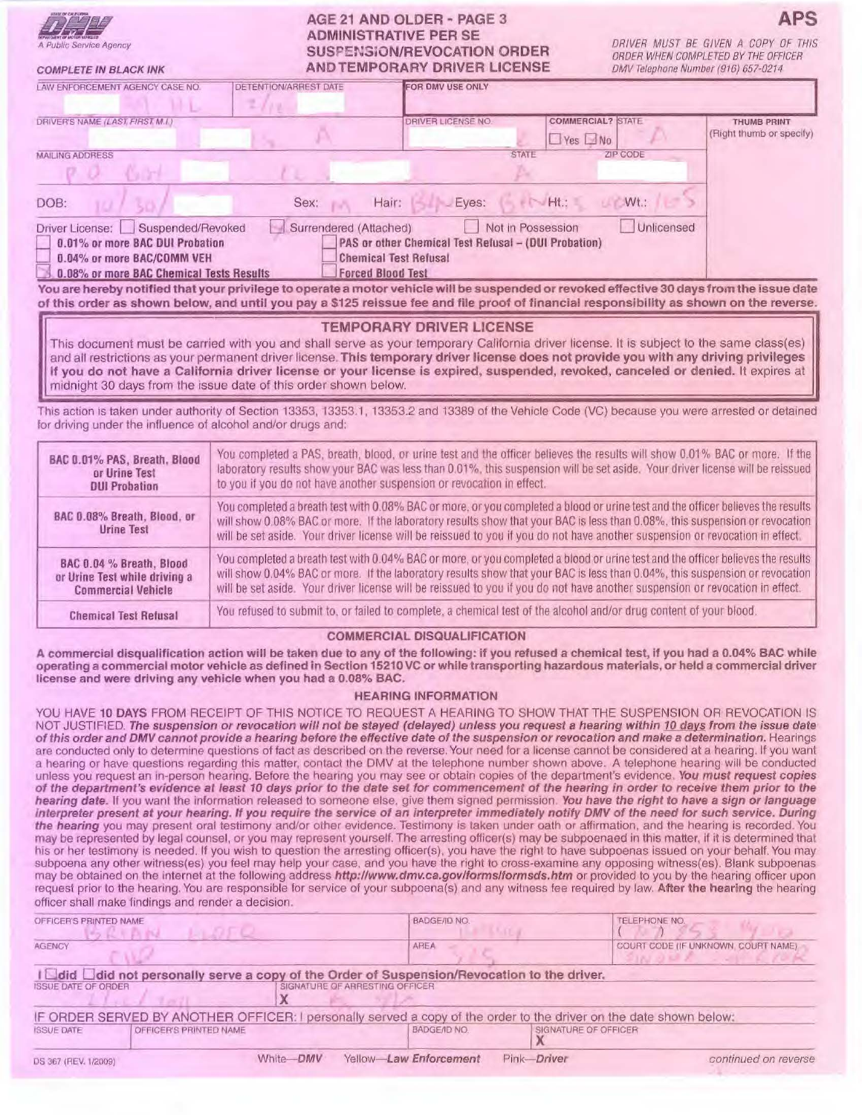| A Public Service Agency |
|-------------------------|

COMPLETE IN BLACK INK

# AGE 21 AND OLDER - PAGE 3 ADMINISTRATIVE PER SE SUSPENSiON/REVOCATION ORDER AND TEMPORARY DRIVER LICENSE

DRIVER MUST BE GIVEN A COPY OF THIS ORDER WHEN COMPLETED BY THE OFFICER OMV Telephone Number (916) 657-0214

**APS** 

| LAW ENFORCEMENT AGENCY CASE NO.                                                                                                                   | <b>DETENTION/ARREST DATE</b>                       | <b>FOR DMV USE ONLY</b>                                                              |                      |                          |                                                |
|---------------------------------------------------------------------------------------------------------------------------------------------------|----------------------------------------------------|--------------------------------------------------------------------------------------|----------------------|--------------------------|------------------------------------------------|
| DRIVER'S NAME (LAST FIRST M.I.)                                                                                                                   |                                                    | DRIVER LICENSE NO.                                                                   | $\Box$ Yes $\Box$ No | <b>COMMERCIAL? STATE</b> | <b>THUMB PRINT</b><br>(Right thumb or specify) |
| <b>MAILING ADDRESS</b>                                                                                                                            |                                                    |                                                                                      | <b>STATE</b>         | ZIP CODE                 |                                                |
| DOB:                                                                                                                                              | Sex:<br>Hair:                                      | Eyes:                                                                                | $Ht$ :               | Wt.:                     |                                                |
| Suspended/Revoked<br>Driver License:<br>0.01% or more BAC DUI Probation<br>0.04% or more BAC/COMM VEH<br>0.08% or more BAC Chemical Tests Results | Surrendered (Attached)<br><b>Forced Blood Test</b> | PAS or other Chemical Test Refusal - (DUI Probation)<br><b>Chemical Test Refusal</b> | Not in Possession    | <b>Unlicensed</b>        |                                                |

You are hereby notified that your privilege to operate a motor vehicle will be suspended or revoked effective 30 days from the issue date of this order as shown below, and until you pay a \$125 reissue fee and file proof of financial responsibility as shown on the reverse.

### TEMPORARY DRIVER LICENSE

This document must be carried with you and shall serve as your temporary California driver license. It is subject to the same class(es) and all restrictions as your permanent driver license. This temporary driver license does not provide you with any driving privileges If you do not have a California driver license or your license is expired, suspended, revoked, canceled or denied. It expires at midnight 30 days from the issue date of this order shown below.

This action 1s taken under authority of Section 13353, 13353 1, 13353.2 and 13389 of the Vehicle Code (VC) because you were arrested or detained for driving under the influence of alcohol and/or drugs and:

| BAC 0.01% PAS, Breath, Blood                     | You completed a PAS, breath, blood, or urine test and the officer believes the results will show 0.01% BAC or more. If the                                                                                                                                                                                                                                                                      |
|--------------------------------------------------|-------------------------------------------------------------------------------------------------------------------------------------------------------------------------------------------------------------------------------------------------------------------------------------------------------------------------------------------------------------------------------------------------|
| or Urine Test                                    | laboratory results show your BAC was less than 0.01%, this suspension will be set aside. Your driver license will be reissued                                                                                                                                                                                                                                                                   |
| <b>DUI Probation</b>                             | to you if you do not have another suspension or revocation in effect.                                                                                                                                                                                                                                                                                                                           |
| BAC 0.08% Breath, Blood, or<br><b>Urine Test</b> | You completed a breath test with 0.08% BAC or more, or you completed a blood or urine test and the officer believes the results<br>will show 0.08% BAC or more. If the laboratory results show that your BAC is less than 0.08%, this suspension or revocation<br>will be set aside. Your driver license will be reissued to you if you do not have another suspension or revocation in effect. |
| BAC 0.04 % Breath, Blood                         | You completed a breath test with 0.04% BAC or more, or you completed a blood or urine test and the officer believes the results                                                                                                                                                                                                                                                                 |
| or Urine Test while driving a                    | will show 0.04% BAC or more. If the laboratory results show that your BAC is less than 0.04%, this suspension or revocation                                                                                                                                                                                                                                                                     |
| <b>Commercial Vehicle</b>                        | will be set aside. Your driver license will be reissued to you if you do not have another suspension or revocation in effect.                                                                                                                                                                                                                                                                   |
| <b>Chemical Test Refusal</b>                     | You refused to submit to, or failed to complete, a chemical test of the alcohol and/or drug content of your blood.                                                                                                                                                                                                                                                                              |

#### COMMERCIAL DISQUALIFICATION

A commercial disqualiflcatlon action will be taken due to any of the following: if you refused a chemical test, if you had a 0.04% BAC while operating a commercial motor vehicle as defined in Section 15210 VC or while transporting hazardous materials, or held a commercial driver license and were driving any vehicle when you had a 0.08% BAC.

## HEARING INFORMATION

YOU HAVE 10 DAYS FROM RECEIPT OF THIS NOTICE TO REQUEST A HEARING TO SHOW THAT THE SUSPENSION OR REVOCATION IS NOT JUSTIFIED. The suspension or revocation will not be stayed (delayed) unless you request a hearing within 10 days from the issue date of this order and DMV cannot provide a hearing before the effective date of the suspension or revocation and make a determination. Hearings are conducted only to determine questions of fact as described on the reverse. Your need for a license cannot be considered at a hearing. If you want a hearing or have questions regarding this matter, contact the DMV at the telephone number shown above. A telephone hearing will be conducted unless you request an in-person hearing. Before the hearing you may see or obtain copies of the department's evidence. You must request copies<br>of the department's evidence at least 10 days prior to the date set for commenc hearing date. If you want the information released to someone else, give them signed permission. You have the right to have a sign or language Interpreter present at your hearing. If you require the service of an interpreter immediately notify DMV of the need for such service. During the hearing you may present oral testimony and/or other evidence. Testimony is taken under oath or affirmation, and the hearing is recorded. You may be represented by legal counsel, or you may represent yourself The arresting officer(s) may be subpoenaed in this matter, if it is determined that his or her testimony is needed. If you wish to question the arresting officer(s), you have the right to have subpoenas issued on your behalf. You may subpoena any other witness(es) you feel may help your case, and you have the right to cross-examine any opposing witness(es). Blank subpoenas may be obtained on the internet at the following address http://www.dmv.ca.gov/forms/formsds.htm or provided to you by the hearing officer upon request prior to the hearing. You are responsible for service of your subpoena(s) and any witness fee required by law. After the hearing the hearing officer shall make findings and render a decision.

| OFFICER'S PRINTED NAME     |                        |           | BADGE/ID NO.                                                                                                       |             | TELEPHONE NO.                        |  |
|----------------------------|------------------------|-----------|--------------------------------------------------------------------------------------------------------------------|-------------|--------------------------------------|--|
| <b>AGENCY</b>              |                        |           | AREA                                                                                                               |             | COURT CODE (IF UNKNOWN, COURT NAME). |  |
|                            |                        |           | I I did I did not personally serve a copy of the Order of Suspension/Revocation to the driver.                     |             |                                      |  |
| <b>ISSUE DATE OF ORDER</b> |                        |           | SIGNATURE OF ARRESTING OFFICER                                                                                     |             |                                      |  |
|                            |                        |           | IF ORDER SERVED BY ANOTHER OFFICER: I personally served a copy of the order to the driver on the date shown below: |             |                                      |  |
| <b>ISSUE DATE</b>          | OFFICER'S PRINTED NAME |           | BADGE/ID NO.                                                                                                       |             | SIGNATURE OF OFFICER                 |  |
| DS 367 (REV. 1/2009)       |                        | White-DMV | Yellow-Law Enforcement                                                                                             | Pink-Driver | continued on reverse                 |  |